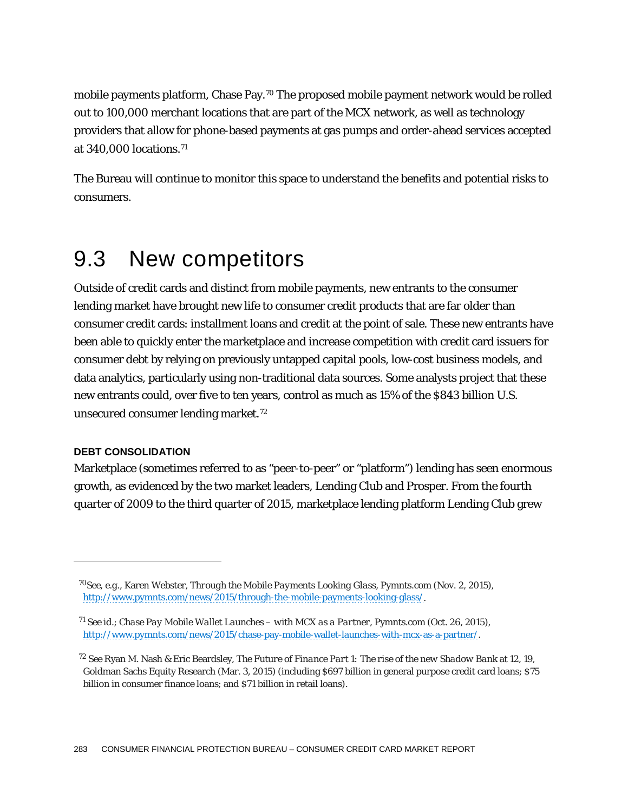mobile payments platform, Chase Pay.70 The proposed mobile payment network would be rolled out to 100,000 merchant locations that are part of the MCX network, as well as technology providers that allow for phone-based payments at gas pumps and order-ahead services accepted at 340,000 locations.71

The Bureau will continue to monitor this space to understand the benefits and potential risks to consumers.

## 9.3 New competitors

Outside of credit cards and distinct from mobile payments, new entrants to the consumer lending market have brought new life to consumer credit products that are far older than consumer credit cards: installment loans and credit at the point of sale. These new entrants have been able to quickly enter the marketplace and increase competition with credit card issuers for consumer debt by relying on previously untapped capital pools, low-cost business models, and data analytics, particularly using non-traditional data sources. Some analysts project that these new entrants could, over five to ten years, control as much as 15% of the \$843 billion U.S. unsecured consumer lending market.72

## **DEBT CONSOLIDATION**

1

Marketplace (sometimes referred to as "peer-to-peer" or "platform") lending has seen enormous growth, as evidenced by the two market leaders, Lending Club and Prosper. From the fourth quarter of 2009 to the third quarter of 2015, marketplace lending platform Lending Club grew

<sup>70</sup>*See*, *e.g.*, Karen Webster, *Through the Mobile Payments Looking Glass*, Pymnts.com (Nov. 2, 2015), http://www.pymnts.com/news/2015/through-the-mobile-payments-looking-glass/.

<sup>71</sup> *See id*.; *Chase Pay Mobile Wallet Launches – with MCX as a Partner*, Pymnts.com (Oct. 26, 2015), http://www.pymnts.com/news/2015/chase-pay-mobile-wallet-launches-with-mcx-as-a-partner/.

<sup>72</sup> *See* Ryan M. Nash & Eric Beardsley, *The Future of Finance Part 1: The rise of the new Shadow Bank* at 12, 19, Goldman Sachs Equity Research (Mar. 3, 2015) (including \$697 billion in general purpose credit card loans; \$75 billion in consumer finance loans; and \$71 billion in retail loans).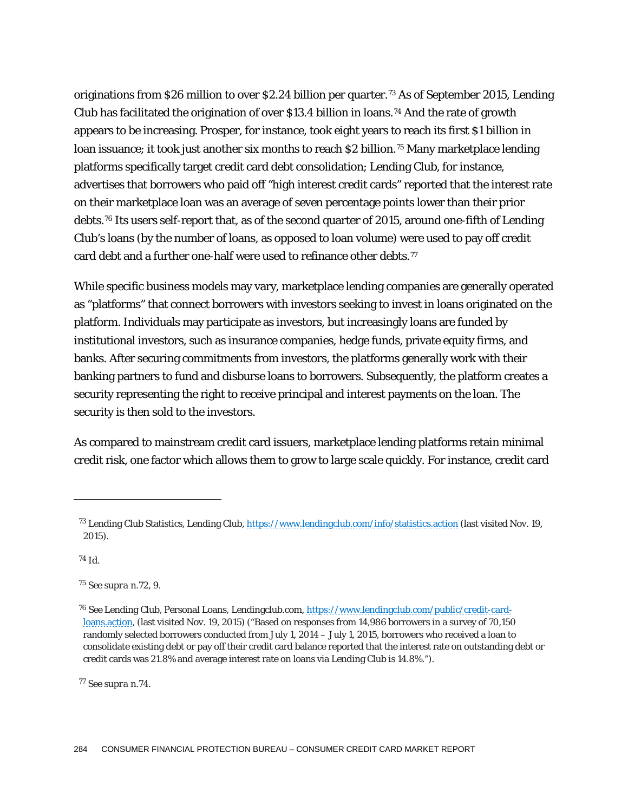originations from \$26 million to over \$2.24 billion per quarter.73 As of September 2015, Lending Club has facilitated the origination of over \$13.4 billion in loans.<sup>74</sup> And the rate of growth appears to be increasing. Prosper, for instance, took eight years to reach its first \$1 billion in loan issuance; it took just another six months to reach \$2 billion.<sup>75</sup> Many marketplace lending platforms specifically target credit card debt consolidation; Lending Club, for instance, advertises that borrowers who paid off "high interest credit cards" reported that the interest rate on their marketplace loan was an average of seven percentage points lower than their prior debts.76 Its users self-report that, as of the second quarter of 2015, around one-fifth of Lending Club's loans (by the number of loans, as opposed to loan volume) were used to pay off credit card debt and a further one-half were used to refinance other debts.<sup>77</sup>

While specific business models may vary, marketplace lending companies are generally operated as "platforms" that connect borrowers with investors seeking to invest in loans originated on the platform. Individuals may participate as investors, but increasingly loans are funded by institutional investors, such as insurance companies, hedge funds, private equity firms, and banks. After securing commitments from investors, the platforms generally work with their banking partners to fund and disburse loans to borrowers. Subsequently, the platform creates a security representing the right to receive principal and interest payments on the loan. The security is then sold to the investors.

As compared to mainstream credit card issuers, marketplace lending platforms retain minimal credit risk, one factor which allows them to grow to large scale quickly. For instance, credit card

<sup>74</sup> Id.

1

<sup>77</sup> See *supra* n.74.

<sup>73</sup> Lending Club Statistics, Lending Club, https://www.lendingclub.com/info/statistics.action (last visited Nov. 19, 2015).

<sup>75</sup> *See supra* n.72, 9.

<sup>76</sup> *See* Lending Club, Personal Loans, Lendingclub.com, https://www.lendingclub.com/public/credit-cardloans.action, (last visited Nov. 19, 2015) ("Based on responses from 14,986 borrowers in a survey of 70,150 randomly selected borrowers conducted from July 1, 2014 – July 1, 2015, borrowers who received a loan to consolidate existing debt or pay off their credit card balance reported that the interest rate on outstanding debt or credit cards was 21.8% and average interest rate on loans via Lending Club is 14.8%.").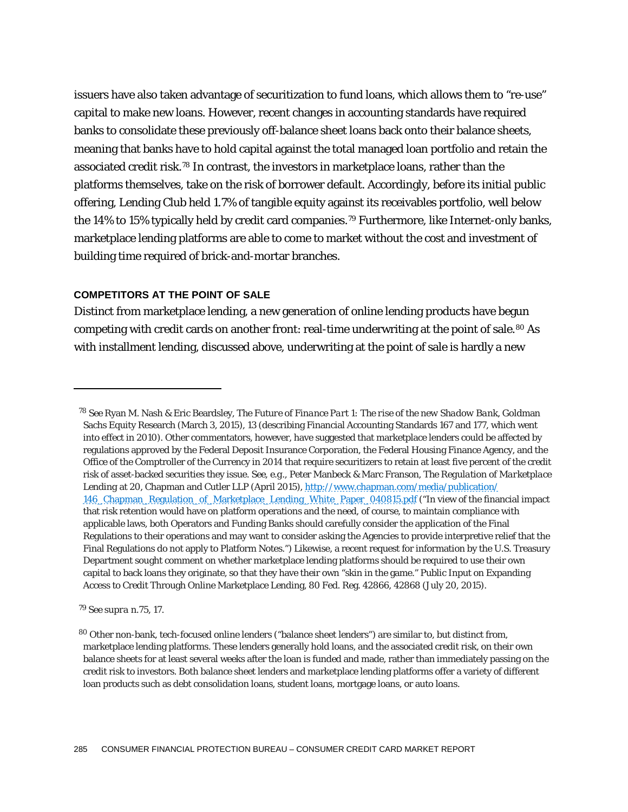issuers have also taken advantage of securitization to fund loans, which allows them to "re-use" capital to make new loans. However, recent changes in accounting standards have required banks to consolidate these previously off-balance sheet loans back onto their balance sheets, meaning that banks have to hold capital against the total managed loan portfolio and retain the associated credit risk.78 In contrast, the investors in marketplace loans, rather than the platforms themselves, take on the risk of borrower default. Accordingly, before its initial public offering, Lending Club held 1.7% of tangible equity against its receivables portfolio, well below the 14% to 15% typically held by credit card companies.<sup>79</sup> Furthermore, like Internet-only banks, marketplace lending platforms are able to come to market without the cost and investment of building time required of brick-and-mortar branches.

## **COMPETITORS AT THE POINT OF SALE**

Distinct from marketplace lending, a new generation of online lending products have begun competing with credit cards on another front: real-time underwriting at the point of sale.<sup>80</sup> As with installment lending, discussed above, underwriting at the point of sale is hardly a new

<sup>79</sup> *See supra* n.75, 17.

<sup>78</sup> *See* Ryan M. Nash & Eric Beardsley, *The Future of Finance Part 1: The rise of the new Shadow Bank*, Goldman Sachs Equity Research (March 3, 2015), 13 (describing Financial Accounting Standards 167 and 177, which went into effect in 2010). Other commentators, however, have suggested that marketplace lenders could be affected by regulations approved by the Federal Deposit Insurance Corporation, the Federal Housing Finance Agency, and the Office of the Comptroller of the Currency in 2014 that require securitizers to retain at least five percent of the credit risk of asset-backed securities they issue. *See*, *e.g.*, Peter Manbeck & Marc Franson, *The Regulation of Marketplace Lending* at 20, Chapman and Cutler LLP (April 2015), http://www.chapman.com/media/publication/ 146\_Chapman\_Regulation\_of\_Marketplace\_Lending\_White\_Paper\_040815.pdf ("In view of the financial impact that risk retention would have on platform operations and the need, of course, to maintain compliance with applicable laws, both Operators and Funding Banks should carefully consider the application of the Final Regulations to their operations and may want to consider asking the Agencies to provide interpretive relief that the Final Regulations do not apply to Platform Notes.") Likewise, a recent request for information by the U.S. Treasury Department sought comment on whether marketplace lending platforms should be required to use their own capital to back loans they originate, so that they have their own "skin in the game." Public Input on Expanding Access to Credit Through Online Marketplace Lending, 80 Fed. Reg. 42866, 42868 (July 20, 2015).

<sup>80</sup> Other non-bank, tech-focused online lenders ("balance sheet lenders") are similar to, but distinct from, marketplace lending platforms. These lenders generally hold loans, and the associated credit risk, on their own balance sheets for at least several weeks after the loan is funded and made, rather than immediately passing on the credit risk to investors. Both balance sheet lenders and marketplace lending platforms offer a variety of different loan products such as debt consolidation loans, student loans, mortgage loans, or auto loans.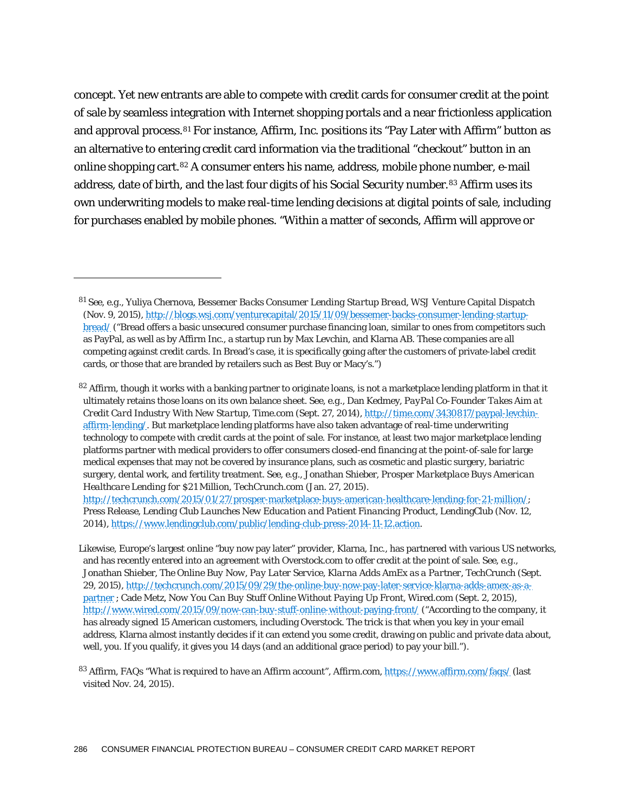concept. Yet new entrants are able to compete with credit cards for consumer credit at the point of sale by seamless integration with Internet shopping portals and a near frictionless application and approval process.81 For instance, Affirm, Inc. positions its "Pay Later with Affirm" button as an alternative to entering credit card information via the traditional "checkout" button in an online shopping cart.82 A consumer enters his name, address, mobile phone number, e-mail address, date of birth, and the last four digits of his Social Security number.83 Affirm uses its own underwriting models to make real-time lending decisions at digital points of sale, including for purchases enabled by mobile phones. "Within a matter of seconds, Affirm will approve or

<sup>81</sup> *See*, *e.g.*, Yuliya Chernova, *Bessemer Backs Consumer Lending Startup Bread,* WSJ Venture Capital Dispatch (Nov. 9, 2015), http://blogs.wsj.com/venturecapital/2015/11/09/bessemer-backs-consumer-lending-startupbread/ ("Bread offers a basic unsecured consumer purchase financing loan, similar to ones from competitors such as PayPal, as well as by Affirm Inc., a startup run by Max Levchin, and Klarna AB. These companies are all competing against credit cards. In Bread's case, it is specifically going after the customers of private-label credit cards, or those that are branded by retailers such as Best Buy or Macy's.")

 $82$  Affirm, though it works with a banking partner to originate loans, is not a marketplace lending platform in that it ultimately retains those loans on its own balance sheet. *See*, *e.g.*, Dan Kedmey, *PayPal Co-Founder Takes Aim at Credit Card Industry With New Startup*, Time.com (Sept. 27, 2014), http://time.com/3430817/paypal-levchinaffirm-lending/. But marketplace lending platforms have also taken advantage of real-time underwriting technology to compete with credit cards at the point of sale. For instance, at least two major marketplace lending platforms partner with medical providers to offer consumers closed-end financing at the point-of-sale for large medical expenses that may not be covered by insurance plans, such as cosmetic and plastic surgery, bariatric surgery, dental work, and fertility treatment. *See*, *e.g.*, Jonathan Shieber, *Prosper Marketplace Buys American Healthcare Lending for \$21 Million*, TechCrunch.com (Jan. 27, 2015).

http://techcrunch.com/2015/01/27/prosper-marketplace-buys-american-healthcare-lending-for-21-million/; Press Release, *Lending Club Launches New Education and Patient Financing Product*, LendingClub (Nov. 12, 2014), https://www.lendingclub.com/public/lending-club-press-2014-11-12.action.

Likewise, Europe's largest online "buy now pay later" provider, Klarna, Inc., has partnered with various US networks, and has recently entered into an agreement with Overstock.com to offer credit at the point of sale. *See*, *e.g.*, Jonathan Shieber, *The Online Buy Now, Pay Later Service, Klarna Adds AmEx as a Partner*, TechCrunch (Sept. 29, 2015), http://techcrunch.com/2015/09/29/the-online-buy-now-pay-later-service-klarna-adds-amex-as-apartner ; Cade Metz, *Now You Can Buy Stuff Online Without Paying Up Front*, Wired.com (Sept. 2, 2015), http://www.wired.com/2015/09/now-can-buy-stuff-online-without-paying-front/ ("According to the company, it has already signed 15 American customers, including Overstock. The trick is that when you key in your email address, Klarna almost instantly decides if it can extend you some credit, drawing on public and private data about, well, you. If you qualify, it gives you 14 days (and an additional grace period) to pay your bill.").

<sup>83</sup> Affirm, FAQs "What is required to have an Affirm account", Affirm.com, https://www.affirm.com/faqs/ (last visited Nov. 24, 2015).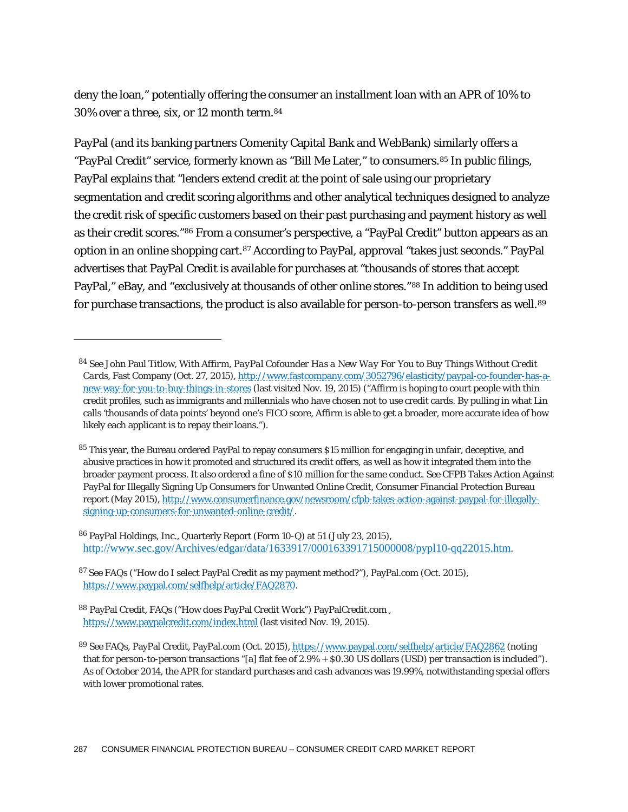deny the loan," potentially offering the consumer an installment loan with an APR of 10% to 30% over a three, six, or 12 month term.84

PayPal (and its banking partners Comenity Capital Bank and WebBank) similarly offers a "PayPal Credit" service, formerly known as "Bill Me Later," to consumers.<sup>85</sup> In public filings, PayPal explains that "lenders extend credit at the point of sale using our proprietary segmentation and credit scoring algorithms and other analytical techniques designed to analyze the credit risk of specific customers based on their past purchasing and payment history as well as their credit scores."86 From a consumer's perspective, a "PayPal Credit" button appears as an option in an online shopping cart.87 According to PayPal, approval "takes just seconds." PayPal advertises that PayPal Credit is available for purchases at "thousands of stores that accept PayPal," eBay, and "exclusively at thousands of other online stores."<sup>88</sup> In addition to being used for purchase transactions, the product is also available for person-to-person transfers as well.<sup>89</sup>

<sup>84</sup> *See* John Paul Titlow, *With Affirm, PayPal Cofounder Has a New Way For You to Buy Things Without Credit Cards*, Fast Company (Oct. 27, 2015), http://www.fastcompany.com/3052796/elasticity/paypal-co-founder-has-anew-way-for-you-to-buy-things-in-stores (last visited Nov. 19, 2015) ("Affirm is hoping to court people with thin credit profiles, such as immigrants and millennials who have chosen not to use credit cards. By pulling in what Lin calls 'thousands of data points' beyond one's FICO score, Affirm is able to get a broader, more accurate idea of how likely each applicant is to repay their loans.").

<sup>85</sup> This year, the Bureau ordered PayPal to repay consumers \$15 million for engaging in unfair, deceptive, and abusive practices in how it promoted and structured its credit offers, as well as how it integrated them into the broader payment process. It also ordered a fine of \$10 million for the same conduct. *See* CFPB Takes Action Against PayPal for Illegally Signing Up Consumers for Unwanted Online Credit, Consumer Financial Protection Bureau report (May 2015), http://www.consumerfinance.gov/newsroom/cfpb-takes-action-against-paypal-for-illegallysigning-up-consumers-for-unwanted-online-credit/.

<sup>86</sup> PayPal Holdings, Inc., Quarterly Report (Form 10-Q) at 51 (July 23, 2015), http://www.sec.gov/Archives/edgar/data/1633917/000163391715000008/pypl10-qq22015.htm.

<sup>87</sup> *See* FAQs ("How do I select PayPal Credit as my payment method?"), PayPal.com (Oct. 2015), https://www.paypal.com/selfhelp/article/FAQ2870.

<sup>88</sup> PayPal Credit, FAQs ("How does PayPal Credit Work") PayPalCredit.com , https://www.paypalcredit.com/index.html (last visited Nov. 19, 2015).

<sup>89</sup> *See* FAQs, PayPal Credit, PayPal.com (Oct. 2015), https://www.paypal.com/selfhelp/article/FAQ2862 (noting that for person-to-person transactions "[a] flat fee of 2.9% + \$0.30 US dollars (USD) per transaction is included"). As of October 2014, the APR for standard purchases and cash advances was 19.99%, notwithstanding special offers with lower promotional rates.